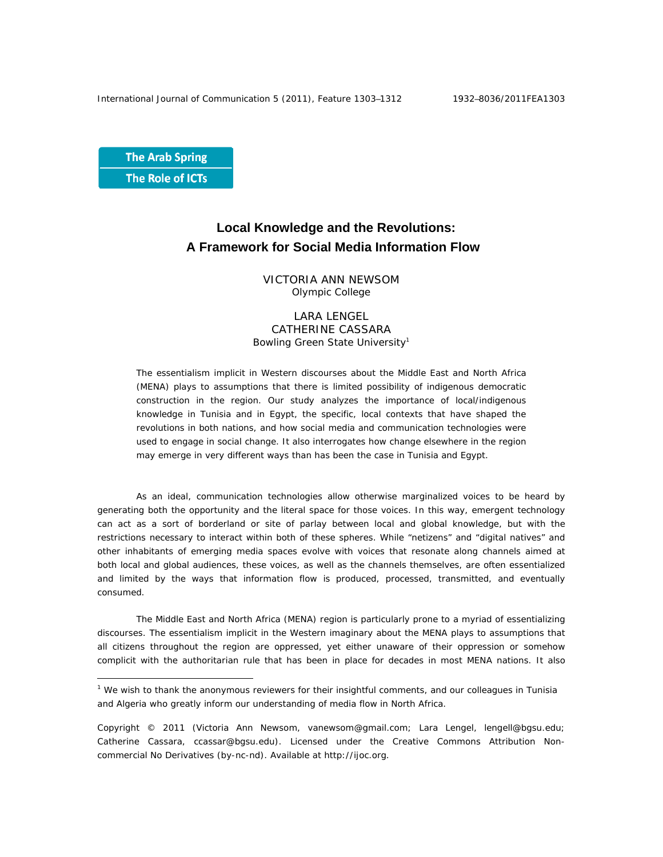**The Arab Spring** The Role of ICTs

 $\overline{a}$ 

## **Local Knowledge and the Revolutions: A Framework for Social Media Information Flow**

VICTORIA ANN NEWSOM Olympic College

LARA LENGEL CATHERINE CASSARA Bowling Green State University<sup>1</sup>

The essentialism implicit in Western discourses about the Middle East and North Africa (MENA) plays to assumptions that there is limited possibility of indigenous democratic construction in the region. Our study analyzes the importance of local/indigenous knowledge in Tunisia and in Egypt, the specific, local contexts that have shaped the revolutions in both nations, and how social media and communication technologies were used to engage in social change. It also interrogates how change elsewhere in the region may emerge in very different ways than has been the case in Tunisia and Egypt.

As an ideal, communication technologies allow otherwise marginalized voices to be heard by generating both the opportunity and the literal space for those voices. In this way, emergent technology can act as a sort of borderland or site of parlay between local and global knowledge, but with the restrictions necessary to interact within both of these spheres. While "netizens" and "digital natives" and other inhabitants of emerging media spaces evolve with voices that resonate along channels aimed at both local and global audiences, these voices, as well as the channels themselves, are often essentialized and limited by the ways that information flow is produced, processed, transmitted, and eventually consumed.

The Middle East and North Africa (MENA) region is particularly prone to a myriad of essentializing discourses. The essentialism implicit in the Western imaginary about the MENA plays to assumptions that all citizens throughout the region are oppressed, yet either unaware of their oppression or somehow complicit with the authoritarian rule that has been in place for decades in most MENA nations. It also

<sup>&</sup>lt;sup>1</sup> We wish to thank the anonymous reviewers for their insightful comments, and our colleagues in Tunisia and Algeria who greatly inform our understanding of media flow in North Africa.

Copyright © 2011 (Victoria Ann Newsom, vanewsom@gmail.com; Lara Lengel, lengell@bgsu.edu; Catherine Cassara, ccassar@bgsu.edu). Licensed under the Creative Commons Attribution Noncommercial No Derivatives (by-nc-nd). Available at http://ijoc.org.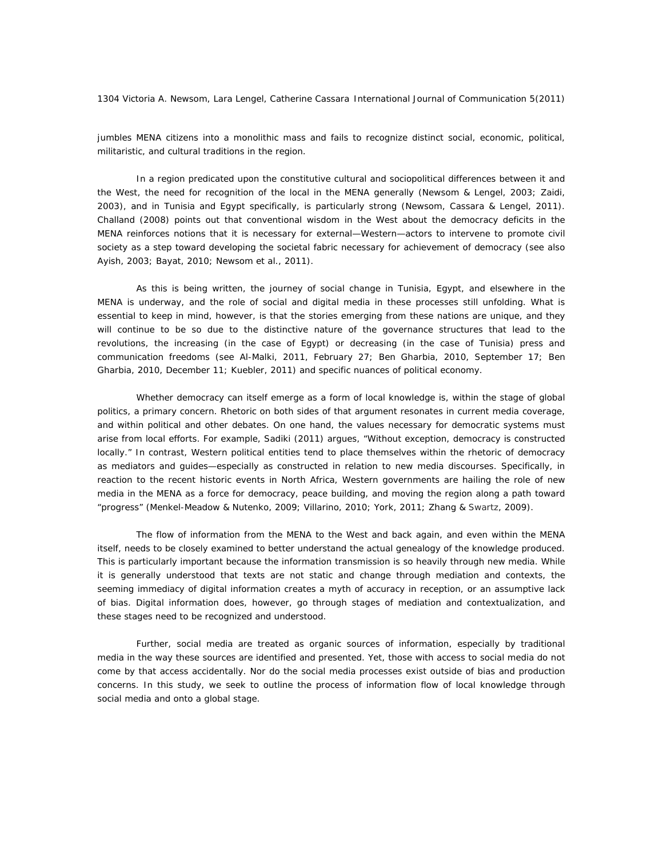jumbles MENA citizens into a monolithic mass and fails to recognize distinct social, economic, political, militaristic, and cultural traditions in the region.

In a region predicated upon the constitutive cultural and sociopolitical differences between it and the West, the need for recognition of the local in the MENA generally (Newsom & Lengel, 2003; Zaidi, 2003), and in Tunisia and Egypt specifically, is particularly strong (Newsom, Cassara & Lengel, 2011). Challand (2008) points out that conventional wisdom in the West about the democracy deficits in the MENA reinforces notions that it is necessary for external—Western—actors to intervene to promote civil society as a step toward developing the societal fabric necessary for achievement of democracy (see also Ayish, 2003; Bayat, 2010; Newsom et al., 2011).

As this is being written, the journey of social change in Tunisia, Egypt, and elsewhere in the MENA is underway, and the role of social and digital media in these processes still unfolding. What is essential to keep in mind, however, is that the stories emerging from these nations are unique, and they will continue to be so due to the distinctive nature of the governance structures that lead to the revolutions, the increasing (in the case of Egypt) or decreasing (in the case of Tunisia) press and communication freedoms (see Al-Malki, 2011, February 27; Ben Gharbia, 2010, September 17; Ben Gharbia, 2010, December 11; Kuebler, 2011) and specific nuances of political economy.

Whether democracy can itself emerge as a form of local knowledge is, within the stage of global politics, a primary concern. Rhetoric on both sides of that argument resonates in current media coverage, and within political and other debates. On one hand, the values necessary for democratic systems must arise from local efforts. For example, Sadiki (2011) argues, "Without exception, democracy is constructed locally." In contrast, Western political entities tend to place themselves within the rhetoric of democracy as mediators and guides—especially as constructed in relation to new media discourses. Specifically, in reaction to the recent historic events in North Africa, Western governments are hailing the role of new media in the MENA as a force for democracy, peace building, and moving the region along a path toward "progress" (Menkel-Meadow & Nutenko, 2009; Villarino, 2010; York, 2011; Zhang & Swartz, 2009).

The flow of information from the MENA to the West and back again, and even within the MENA itself, needs to be closely examined to better understand the actual genealogy of the knowledge produced. This is particularly important because the information transmission is so heavily through new media. While it is generally understood that texts are not static and change through mediation and contexts, the seeming immediacy of digital information creates a myth of accuracy in reception, or an assumptive lack of bias. Digital information does, however, go through stages of mediation and contextualization, and these stages need to be recognized and understood.

Further, social media are treated as organic sources of information, especially by traditional media in the way these sources are identified and presented. Yet, those with access to social media do not come by that access accidentally. Nor do the social media processes exist outside of bias and production concerns. In this study, we seek to outline the process of information flow of local knowledge through social media and onto a global stage.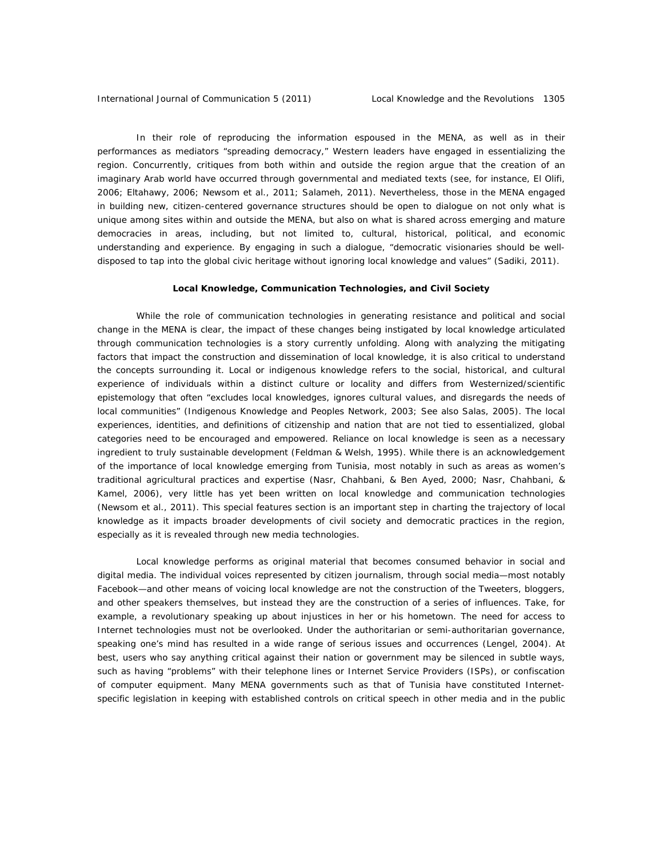In their role of reproducing the information espoused in the MENA, as well as in their performances as mediators "spreading democracy," Western leaders have engaged in essentializing the region. Concurrently, critiques from both within and outside the region argue that the creation of an imaginary Arab world have occurred through governmental and mediated texts (see, for instance, El Olifi, 2006; Eltahawy, 2006; Newsom et al., 2011; Salameh, 2011). Nevertheless, those in the MENA engaged in building new, citizen-centered governance structures should be open to dialogue on not only what is unique among sites within and outside the MENA, but also on what is shared across emerging and mature democracies in areas, including, but not limited to, cultural, historical, political, and economic understanding and experience. By engaging in such a dialogue, "democratic visionaries should be welldisposed to tap into the global civic heritage without ignoring local knowledge and values" (Sadiki, 2011).

## **Local Knowledge, Communication Technologies, and Civil Society**

While the role of communication technologies in generating resistance and political and social change in the MENA is clear, the impact of these changes being instigated by local knowledge articulated through communication technologies is a story currently unfolding. Along with analyzing the mitigating factors that impact the construction and dissemination of local knowledge, it is also critical to understand the concepts surrounding it. Local or indigenous knowledge refers to the social, historical, and cultural experience of individuals within a distinct culture or locality and differs from Westernized/scientific epistemology that often "excludes local knowledges, ignores cultural values, and disregards the needs of local communities" (Indigenous Knowledge and Peoples Network, 2003; See also Salas, 2005). The local experiences, identities, and definitions of citizenship and nation that are not tied to essentialized, global categories need to be encouraged and empowered. Reliance on local knowledge is seen as a necessary ingredient to truly sustainable development (Feldman & Welsh, 1995). While there is an acknowledgement of the importance of local knowledge emerging from Tunisia, most notably in such as areas as women's traditional agricultural practices and expertise (Nasr, Chahbani, & Ben Ayed, 2000; Nasr, Chahbani, & Kamel, 2006), very little has yet been written on local knowledge and communication technologies (Newsom et al., 2011). This special features section is an important step in charting the trajectory of local knowledge as it impacts broader developments of civil society and democratic practices in the region, especially as it is revealed through new media technologies.

Local knowledge performs as original material that becomes consumed behavior in social and digital media. The individual voices represented by citizen journalism, through social media—most notably Facebook—and other means of voicing local knowledge are not the construction of the Tweeters, bloggers, and other speakers themselves, but instead they are the construction of a series of influences. Take, for example, a revolutionary speaking up about injustices in her or his hometown. The need for access to Internet technologies must not be overlooked. Under the authoritarian or semi-authoritarian governance, speaking one's mind has resulted in a wide range of serious issues and occurrences (Lengel, 2004). At best, users who say anything critical against their nation or government may be silenced in subtle ways, such as having "problems" with their telephone lines or Internet Service Providers (ISPs), or confiscation of computer equipment. Many MENA governments such as that of Tunisia have constituted Internetspecific legislation in keeping with established controls on critical speech in other media and in the public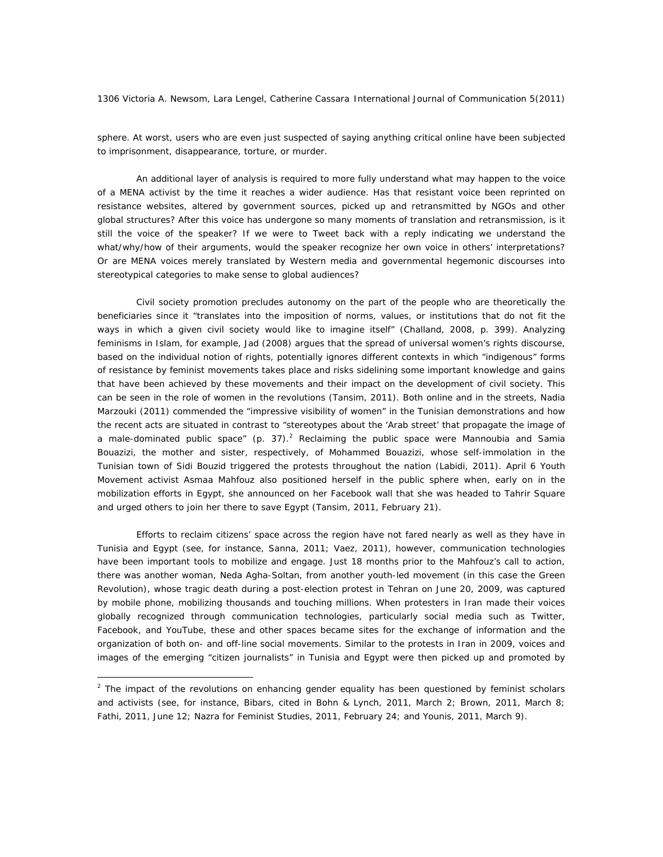sphere. At worst, users who are even just suspected of saying anything critical online have been subjected to imprisonment, disappearance, torture, or murder.

An additional layer of analysis is required to more fully understand what may happen to the voice of a MENA activist by the time it reaches a wider audience. Has that resistant voice been reprinted on resistance websites, altered by government sources, picked up and retransmitted by NGOs and other global structures? After this voice has undergone so many moments of translation and retransmission, is it still the voice of the speaker? If we were to Tweet back with a reply indicating we understand the what/why/how of their arguments, would the speaker recognize her own voice in others' interpretations? Or are MENA voices merely translated by Western media and governmental hegemonic discourses into stereotypical categories to make sense to global audiences?

Civil society promotion precludes autonomy on the part of the people who are theoretically the beneficiaries since it "translates into the imposition of norms, values, or institutions that do not fit the ways in which a given civil society would like to imagine itself" (Challand, 2008, p. 399). Analyzing feminisms in Islam, for example, Jad (2008) argues that the spread of universal women's rights discourse, based on the individual notion of rights, potentially ignores different contexts in which "indigenous" forms of resistance by feminist movements takes place and risks sidelining some important knowledge and gains that have been achieved by these movements and their impact on the development of civil society. This can be seen in the role of women in the revolutions (Tansim, 2011). Both online and in the streets, Nadia Marzouki (2011) commended the "impressive visibility of women" in the Tunisian demonstrations and how the recent acts are situated in contrast to "stereotypes about the 'Arab street' that propagate the image of a male-dominated public space" (p. 37).<sup>2</sup> Reclaiming the public space were Mannoubia and Samia Bouazizi, the mother and sister, respectively, of Mohammed Bouazizi, whose self-immolation in the Tunisian town of Sidi Bouzid triggered the protests throughout the nation (Labidi, 2011). April 6 Youth Movement activist Asmaa Mahfouz also positioned herself in the public sphere when, early on in the mobilization efforts in Egypt, she announced on her Facebook wall that she was headed to Tahrir Square and urged others to join her there to save Egypt (Tansim, 2011, February 21).

Efforts to reclaim citizens' space across the region have not fared nearly as well as they have in Tunisia and Egypt (see, for instance, Sanna, 2011; Vaez, 2011), however, communication technologies have been important tools to mobilize and engage. Just 18 months prior to the Mahfouz's call to action, there was another woman, Neda Agha-Soltan, from another youth-led movement (in this case the Green Revolution), whose tragic death during a post-election protest in Tehran on June 20, 2009, was captured by mobile phone, mobilizing thousands and touching millions. When protesters in Iran made their voices globally recognized through communication technologies, particularly social media such as Twitter, Facebook, and YouTube, these and other spaces became sites for the exchange of information and the organization of both on- and off-line social movements. Similar to the protests in Iran in 2009, voices and images of the emerging "citizen journalists" in Tunisia and Egypt were then picked up and promoted by

 $\overline{a}$ 

 $2$  The impact of the revolutions on enhancing gender equality has been questioned by feminist scholars and activists (see, for instance, Bibars, cited in Bohn & Lynch, 2011, March 2; Brown, 2011, March 8; Fathi, 2011, June 12; Nazra for Feminist Studies, 2011, February 24; and Younis, 2011, March 9).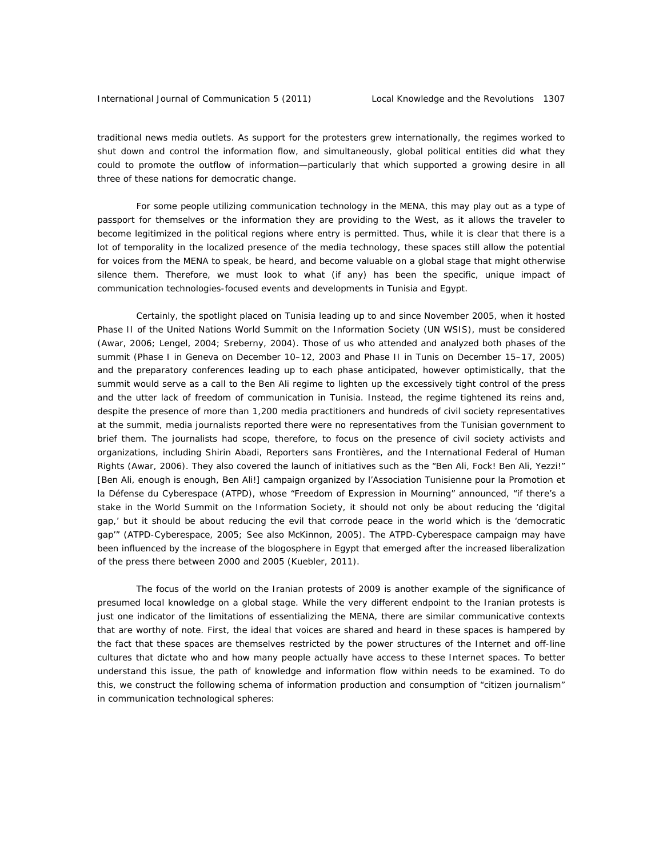traditional news media outlets. As support for the protesters grew internationally, the regimes worked to shut down and control the information flow, and simultaneously, global political entities did what they could to promote the outflow of information—particularly that which supported a growing desire in all three of these nations for democratic change.

For some people utilizing communication technology in the MENA, this may play out as a type of passport for themselves or the information they are providing to the West, as it allows the traveler to become legitimized in the political regions where entry is permitted. Thus, while it is clear that there is a lot of temporality in the localized presence of the media technology, these spaces still allow the potential for voices from the MENA to speak, be heard, and become valuable on a global stage that might otherwise silence them. Therefore, we must look to what (if any) has been the specific, unique impact of communication technologies-focused events and developments in Tunisia and Egypt.

Certainly, the spotlight placed on Tunisia leading up to and since November 2005, when it hosted Phase II of the United Nations World Summit on the Information Society (UN WSIS), must be considered (Awar, 2006; Lengel, 2004; Sreberny, 2004). Those of us who attended and analyzed both phases of the summit (Phase I in Geneva on December 10–12, 2003 and Phase II in Tunis on December 15–17, 2005) and the preparatory conferences leading up to each phase anticipated, however optimistically, that the summit would serve as a call to the Ben Ali regime to lighten up the excessively tight control of the press and the utter lack of freedom of communication in Tunisia. Instead, the regime tightened its reins and, despite the presence of more than 1,200 media practitioners and hundreds of civil society representatives at the summit, media journalists reported there were no representatives from the Tunisian government to brief them. The journalists had scope, therefore, to focus on the presence of civil society activists and organizations, including Shirin Abadi, Reporters sans Frontières, and the International Federal of Human Rights (Awar, 2006). They also covered the launch of initiatives such as the "Ben Ali, Fock! Ben Ali, Yezzi!" [Ben Ali, enough is enough, Ben Ali!] campaign organized by l'Association Tunisienne pour la Promotion et la Défense du Cyberespace (ATPD), whose "Freedom of Expression in Mourning" announced, "if there's a stake in the World Summit on the Information Society, it should not only be about reducing the 'digital gap,' but it should be about reducing the evil that corrode peace in the world which is the 'democratic gap'" (ATPD-Cyberespace, 2005; See also McKinnon, 2005). The ATPD-Cyberespace campaign may have been influenced by the increase of the blogosphere in Egypt that emerged after the increased liberalization of the press there between 2000 and 2005 (Kuebler, 2011).

The focus of the world on the Iranian protests of 2009 is another example of the significance of presumed local knowledge on a global stage. While the very different endpoint to the Iranian protests is just one indicator of the limitations of essentializing the MENA, there are similar communicative contexts that are worthy of note. First, the ideal that voices are shared and heard in these spaces is hampered by the fact that these spaces are themselves restricted by the power structures of the Internet and off-line cultures that dictate who and how many people actually have access to these Internet spaces. To better understand this issue, the path of knowledge and information flow within needs to be examined. To do this, we construct the following schema of information production and consumption of "citizen journalism" in communication technological spheres: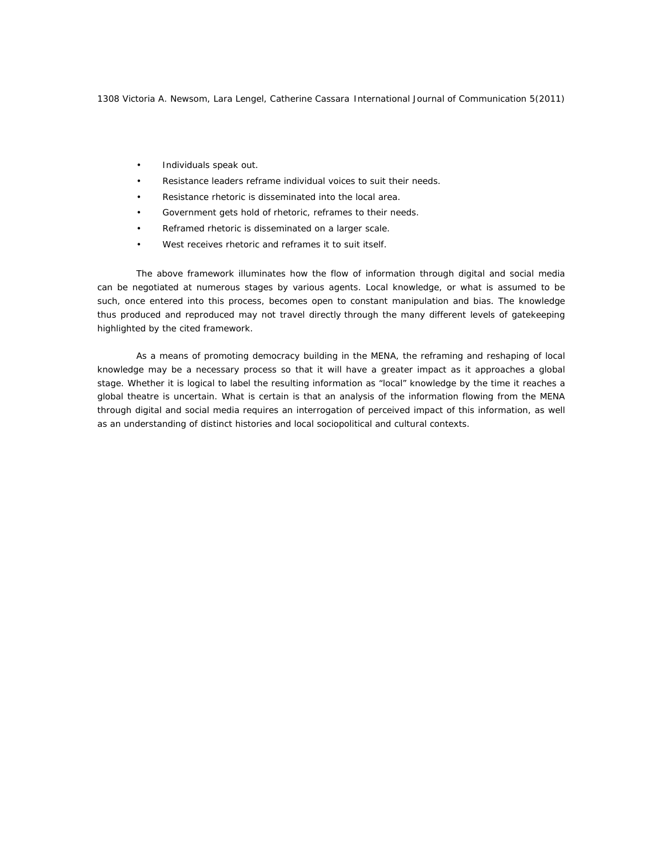- Individuals speak out.
- Resistance leaders reframe individual voices to suit their needs.
- Resistance rhetoric is disseminated into the local area.
- Government gets hold of rhetoric, reframes to their needs.
- Reframed rhetoric is disseminated on a larger scale.
- West receives rhetoric and reframes it to suit itself.

The above framework illuminates how the flow of information through digital and social media can be negotiated at numerous stages by various agents. Local knowledge, or what is assumed to be such, once entered into this process, becomes open to constant manipulation and bias. The knowledge thus produced and reproduced may not travel directly through the many different levels of gatekeeping highlighted by the cited framework.

As a means of promoting democracy building in the MENA, the reframing and reshaping of local knowledge may be a necessary process so that it will have a greater impact as it approaches a global stage. Whether it is logical to label the resulting information as "local" knowledge by the time it reaches a global theatre is uncertain. What is certain is that an analysis of the information flowing from the MENA through digital and social media requires an interrogation of perceived impact of this information, as well as an understanding of distinct histories and local sociopolitical and cultural contexts.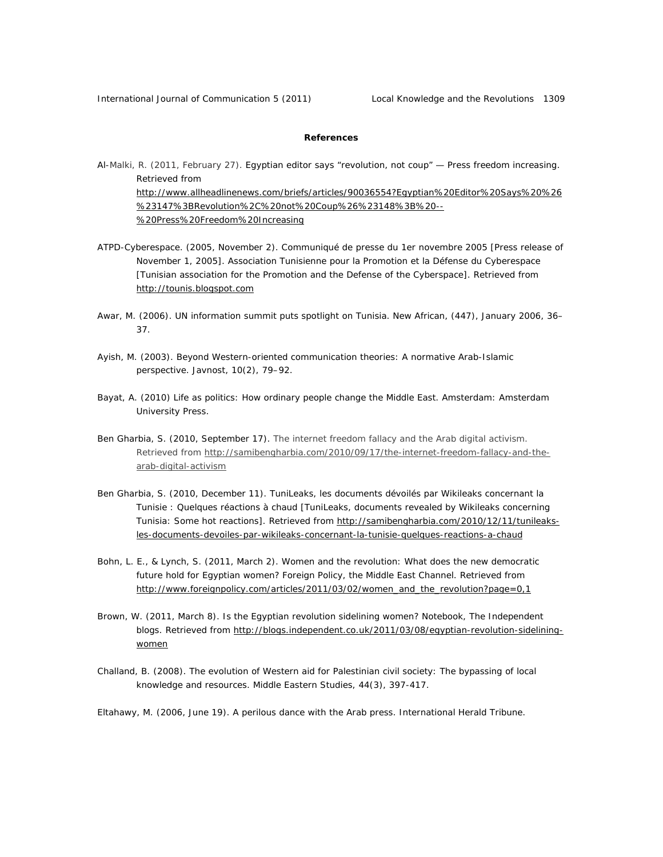## **References**

- Al-Malki, R. (2011, February 27). Egyptian editor says "revolution, not coup" Press freedom increasing. Retrieved from http://www.allheadlinenews.com/briefs/articles/90036554?Egyptian%20Editor%20Says%20%26 %23147%3BRevolution%2C%20not%20Coup%26%23148%3B%20-- %20Press%20Freedom%20Increasing
- ATPD-Cyberespace. (2005, November 2). Communiqué de presse du 1er novembre 2005 [Press release of November 1, 2005]. Association Tunisienne pour la Promotion et la Défense du Cyberespace [Tunisian association for the Promotion and the Defense of the Cyberspace]. Retrieved from http://tounis.blogspot.com
- Awar, M. (2006). UN information summit puts spotlight on Tunisia. *New African*, (447), January 2006, 36– 37.
- Ayish, M. (2003). Beyond Western-oriented communication theories: A normative Arab-Islamic perspective. *Javnost, 10*(2), 79–92.
- Bayat, A. (2010) *Life as politics: How ordinary people change the Middle East*. Amsterdam: Amsterdam University Press.
- Ben Gharbia, S. (2010, September 17). The internet freedom fallacy and the Arab digital activism. Retrieved from http://samibengharbia.com/2010/09/17/the-internet-freedom-fallacy-and-thearab-digital-activism
- Ben Gharbia, S. (2010, December 11). TuniLeaks, les documents dévoilés par Wikileaks concernant la Tunisie : Quelques réactions à chaud [TuniLeaks, documents revealed by Wikileaks concerning Tunisia: Some hot reactions]. Retrieved from http://samibengharbia.com/2010/12/11/tunileaksles-documents-devoiles-par-wikileaks-concernant-la-tunisie-quelques-reactions-a-chaud
- Bohn, L. E., & Lynch, S. (2011, March 2). Women and the revolution: What does the new democratic future hold for Egyptian women? *Foreign Policy, the Middle East Channel*. Retrieved from http://www.foreignpolicy.com/articles/2011/03/02/women\_and\_the\_revolution?page=0,1
- Brown, W. (2011, March 8). Is the Egyptian revolution sidelining women? *Notebook, The Independent blogs.* Retrieved from http://blogs.independent.co.uk/2011/03/08/egyptian-revolution-sideliningwomen
- Challand, B. (2008). The evolution of Western aid for Palestinian civil society: The bypassing of local knowledge and resources. *Middle Eastern Studies, 44*(3), 397-417.

Eltahawy, M. (2006, June 19). A perilous dance with the Arab press. *International Herald Tribune*.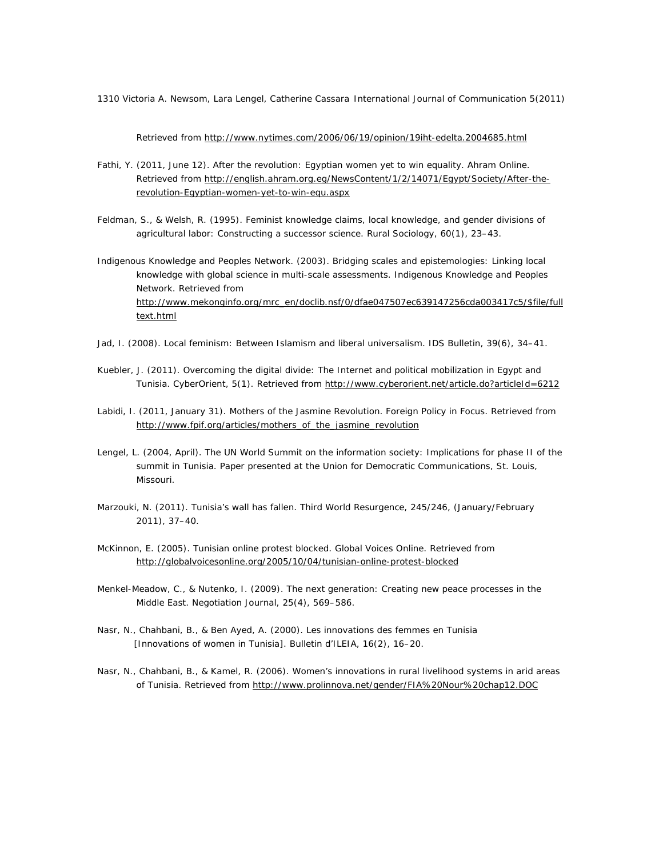Retrieved from http://www.nytimes.com/2006/06/19/opinion/19iht-edelta.2004685.html

- Fathi, Y. (2011, June 12). After the revolution: Egyptian women yet to win equality. *Ahram Online.* Retrieved from http://english.ahram.org.eg/NewsContent/1/2/14071/Egypt/Society/After-therevolution-Egyptian-women-yet-to-win-equ.aspx
- Feldman, S., & Welsh, R. (1995). Feminist knowledge claims, local knowledge, and gender divisions of agricultural labor: Constructing a successor science. *Rural Sociology*, *60*(1), 23–43.
- Indigenous Knowledge and Peoples Network. (2003). *Bridging scales and epistemologies: Linking local knowledge with global science in multi-scale assessments.* Indigenous Knowledge and Peoples Network. Retrieved from http://www.mekonginfo.org/mrc\_en/doclib.nsf/0/dfae047507ec639147256cda003417c5/\$file/full text.html
- Jad, I. (2008). Local feminism: Between Islamism and liberal universalism. *IDS Bulletin*, *39*(6), 34–41.
- Kuebler, J. (2011). Overcoming the digital divide: The Internet and political mobilization in Egypt and Tunisia. CyberOrient, 5(1). Retrieved from http://www.cyberorient.net/article.do?articleId=6212
- Labidi, I. (2011, January 31). Mothers of the Jasmine Revolution. *Foreign Policy in Focus.* Retrieved from http://www.fpif.org/articles/mothers\_of\_the\_jasmine\_revolution
- Lengel, L. (2004, April). *The UN World Summit on the information society: Implications for phase II of the summit in Tunisia*. Paper presented at the Union for Democratic Communications, St. Louis, Missouri.
- Marzouki, N. (2011). Tunisia's wall has fallen. *Third World Resurgence, 245/246,* (January/February 2011), 37–40.
- McKinnon, E. (2005). Tunisian online protest blocked. *Global Voices Online.* Retrieved from http://globalvoicesonline.org/2005/10/04/tunisian-online-protest-blocked
- Menkel-Meadow, C., & Nutenko, I. (2009). The next generation: Creating new peace processes in the Middle East. *Negotiation Journal*, *25*(4), 569–586.
- Nasr, N., Chahbani, B., & Ben Ayed, A. (2000). Les innovations des femmes en Tunisia [Innovations of women in Tunisia]. *Bulletin d'ILEIA*, *16*(2), 16–20.
- Nasr, N., Chahbani, B., & Kamel, R. (2006). Women's innovations in rural livelihood systems in arid areas of Tunisia. Retrieved from http://www.prolinnova.net/gender/FIA%20Nour%20chap12.DOC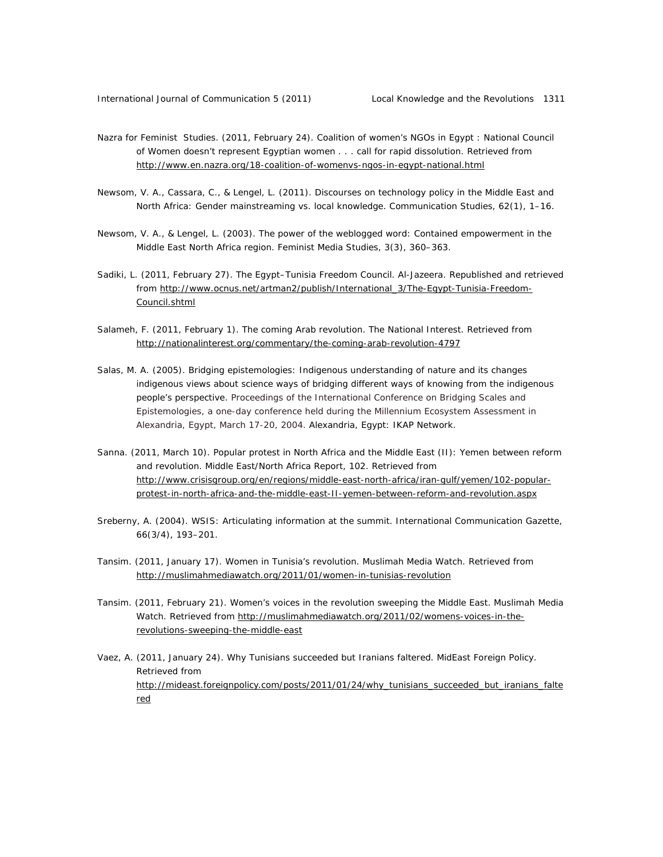- Nazra for Feminist Studies. (2011, February 24). Coalition of women's NGOs in Egypt : National Council of Women doesn't represent Egyptian women . . . call for rapid dissolution. Retrieved from http://www.en.nazra.org/18-coalition-of-womenvs-ngos-in-egypt-national.html
- Newsom, V. A., Cassara, C., & Lengel, L. (2011). Discourses on technology policy in the Middle East and North Africa: Gender mainstreaming vs. local knowledge. *Communication Studies*, *62*(1), 1–16.
- Newsom, V. A., & Lengel, L. (2003). The power of the weblogged word: Contained empowerment in the Middle East North Africa region. *Feminist Media Studies, 3*(3), 360–363.
- Sadiki, L. (2011, February 27). The Egypt–Tunisia Freedom Council. *Al-Jazeera.* Republished and retrieved from http://www.ocnus.net/artman2/publish/International\_3/The-Egypt-Tunisia-Freedom-Council.shtml
- Salameh, F. (2011, February 1). The coming Arab revolution. *The National Interest.* Retrieved from http://nationalinterest.org/commentary/the-coming-arab-revolution-4797
- Salas, M. A. (2005). *Bridging epistemologies: Indigenous understanding of nature and its changes indigenous views about science ways of bridging different ways of knowing from the indigenous people's perspective*. Proceedings of the International Conference on Bridging Scales and Epistemologies, a one-day conference held during the Millennium Ecosystem Assessment in Alexandria, Egypt, March 17-20, 2004. Alexandria, Egypt: IKAP Network.
- Sanna. (2011, March 10). Popular protest in North Africa and the Middle East (II): Yemen between reform and revolution. *Middle East/North Africa Report, 102*. Retrieved from http://www.crisisgroup.org/en/regions/middle-east-north-africa/iran-gulf/yemen/102-popularprotest-in-north-africa-and-the-middle-east-II-yemen-between-reform-and-revolution.aspx
- Sreberny, A. (2004). WSIS: Articulating information at the summit. *International Communication Gazette, 66*(3/4)*,* 193–201.
- Tansim. (2011, January 17). Women in Tunisia's revolution. *Muslimah Media Watch.* Retrieved from http://muslimahmediawatch.org/2011/01/women-in-tunisias-revolution
- Tansim. (2011, February 21). Women's voices in the revolution sweeping the Middle East. *Muslimah Media Watch.* Retrieved from http://muslimahmediawatch.org/2011/02/womens-voices-in-therevolutions-sweeping-the-middle-east
- Vaez, A. (2011, January 24). Why Tunisians succeeded but Iranians faltered. *MidEast Foreign Policy.* Retrieved from http://mideast.foreignpolicy.com/posts/2011/01/24/why\_tunisians\_succeeded\_but\_iranians\_falte red